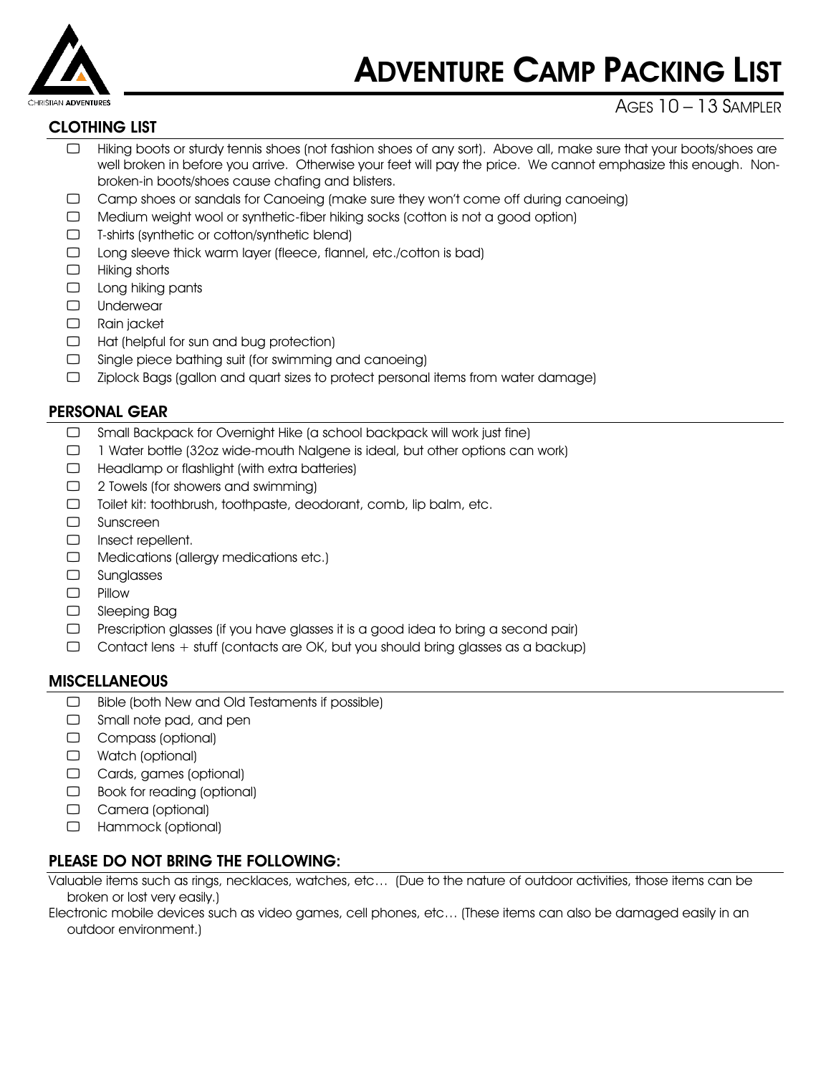

# ADVENTURE CAMP PACKING LIST

## CLOTHING LIST

# AGES  $10 - 13$  SAMPLER

- Hiking boots or sturdy tennis shoes (not fashion shoes of any sort). Above all, make sure that your boots/shoes are well broken in before you arrive. Otherwise your feet will pay the price. We cannot emphasize this enough. Nonbroken-in boots/shoes cause chafing and blisters.
- ⃢ Camp shoes or sandals for Canoeing (make sure they won't come off during canoeing)
- ⃢ Medium weight wool or synthetic-fiber hiking socks (cotton is not a good option)
- $\Box$  T-shirts (synthetic or cotton/synthetic blend)
- □ Long sleeve thick warm layer (fleece, flannel, etc./cotton is bad)
- $\Box$  Hiking shorts
- $\Box$  Long hiking pants
- ⃢ Underwear
- ⃢ Rain jacket
- $\Box$  Hat (helpful for sun and bug protection)
- $\Box$  Single piece bathing suit (for swimming and canoeing)
- ⃢ Ziplock Bags (gallon and quart sizes to protect personal items from water damage)

#### PERSONAL GEAR

- □ Small Backpack for Overnight Hike (a school backpack will work just fine)
- $\Box$  1 Water bottle (32oz wide-mouth Nalgene is ideal, but other options can work)
- $\Box$  Headlamp or flashlight (with extra batteries)
- $\Box$  2 Towels (for showers and swimming)
- ⃢ Toilet kit: toothbrush, toothpaste, deodorant, comb, lip balm, etc.
- ⃢ Sunscreen
- □ Insect repellent.
- □ Medications (allergy medications etc.)
- ⃢ Sunglasses
- ⃢ Pillow
- ⃢ Sleeping Bag
- $\Box$  Prescription glasses (if you have glasses it is a good idea to bring a second pair)
- $\Box$  Contact lens + stuff (contacts are OK, but you should bring glasses as a backup)

#### **MISCELLANEOUS**

- $\Box$  Bible (both New and Old Testaments if possible)
- $\Box$  Small note pad, and pen
- ⃢ Compass (optional)
- □ Watch (optional)
- ⃢ Cards, games (optional)
- □ Book for reading (optional)
- ⃢ Camera (optional)
- ⃢ Hammock (optional)

#### PLEASE DO NOT BRING THE FOLLOWING:

Valuable items such as rings, necklaces, watches, etc… (Due to the nature of outdoor activities, those items can be broken or lost very easily.)

Electronic mobile devices such as video games, cell phones, etc… (These items can also be damaged easily in an outdoor environment.)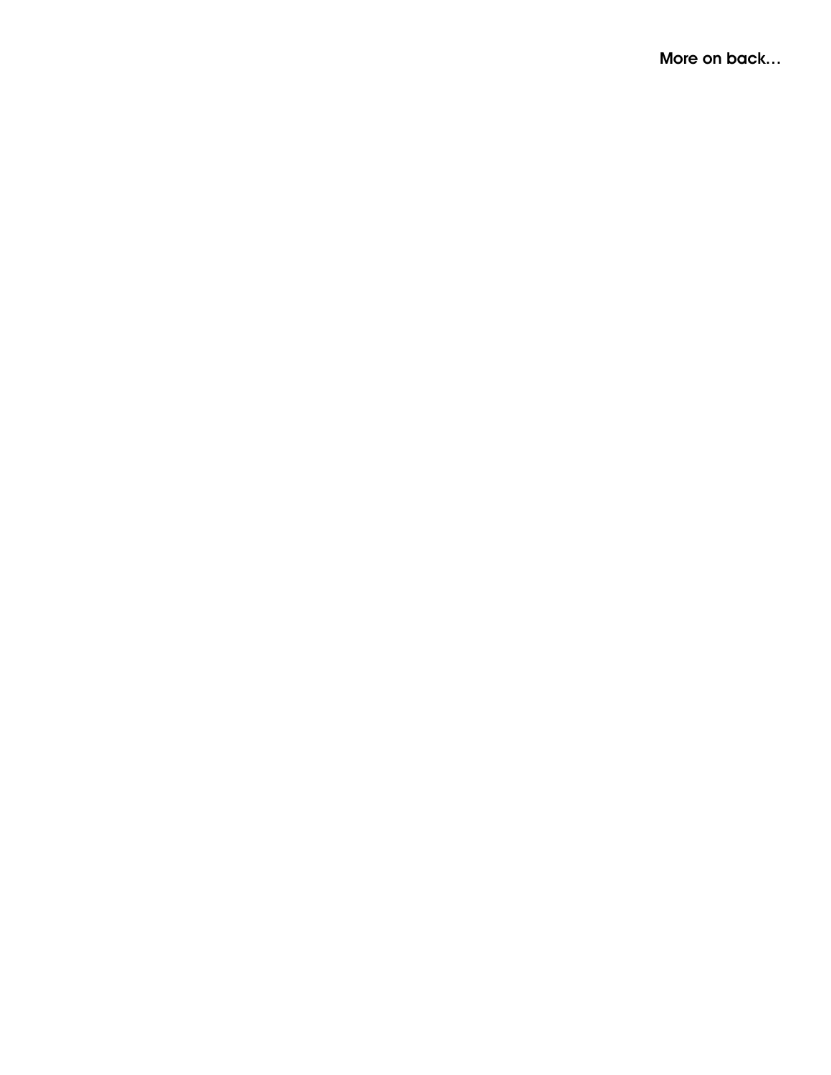More on back...